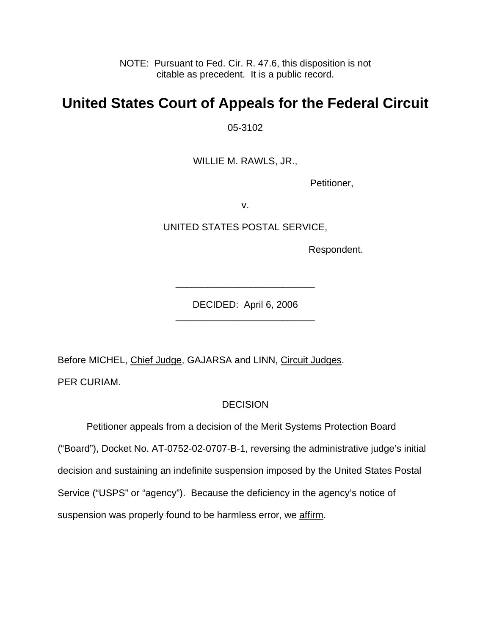NOTE: Pursuant to Fed. Cir. R. 47.6, this disposition is not citable as precedent. It is a public record.

## **United States Court of Appeals for the Federal Circuit**

05-3102

WILLIE M. RAWLS, JR.,

Petitioner,

v.

UNITED STATES POSTAL SERVICE,

Respondent.

DECIDED: April 6, 2006 \_\_\_\_\_\_\_\_\_\_\_\_\_\_\_\_\_\_\_\_\_\_\_\_\_\_

\_\_\_\_\_\_\_\_\_\_\_\_\_\_\_\_\_\_\_\_\_\_\_\_\_\_

Before MICHEL, Chief Judge, GAJARSA and LINN, Circuit Judges.

PER CURIAM.

## **DECISION**

 Petitioner appeals from a decision of the Merit Systems Protection Board ("Board"), Docket No. AT-0752-02-0707-B-1, reversing the administrative judge's initial decision and sustaining an indefinite suspension imposed by the United States Postal Service ("USPS" or "agency"). Because the deficiency in the agency's notice of suspension was properly found to be harmless error, we affirm.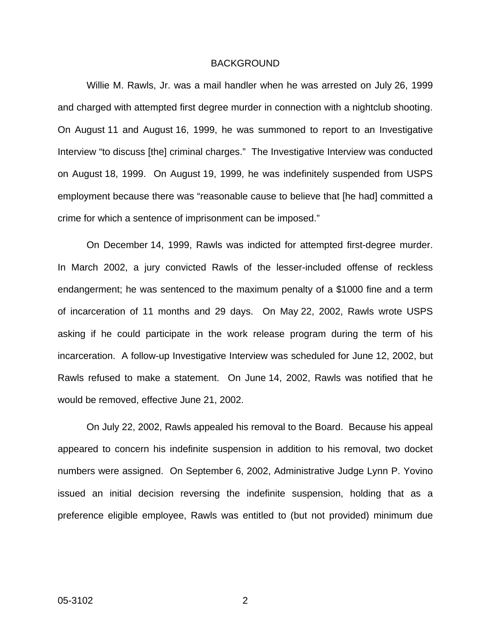## BACKGROUND

Willie M. Rawls, Jr. was a mail handler when he was arrested on July 26, 1999 and charged with attempted first degree murder in connection with a nightclub shooting. On August 11 and August 16, 1999, he was summoned to report to an Investigative Interview "to discuss [the] criminal charges." The Investigative Interview was conducted on August 18, 1999. On August 19, 1999, he was indefinitely suspended from USPS employment because there was "reasonable cause to believe that [he had] committed a crime for which a sentence of imprisonment can be imposed."

On December 14, 1999, Rawls was indicted for attempted first-degree murder. In March 2002, a jury convicted Rawls of the lesser-included offense of reckless endangerment; he was sentenced to the maximum penalty of a \$1000 fine and a term of incarceration of 11 months and 29 days. On May 22, 2002, Rawls wrote USPS asking if he could participate in the work release program during the term of his incarceration. A follow-up Investigative Interview was scheduled for June 12, 2002, but Rawls refused to make a statement. On June 14, 2002, Rawls was notified that he would be removed, effective June 21, 2002.

On July 22, 2002, Rawls appealed his removal to the Board. Because his appeal appeared to concern his indefinite suspension in addition to his removal, two docket numbers were assigned. On September 6, 2002, Administrative Judge Lynn P. Yovino issued an initial decision reversing the indefinite suspension, holding that as a preference eligible employee, Rawls was entitled to (but not provided) minimum due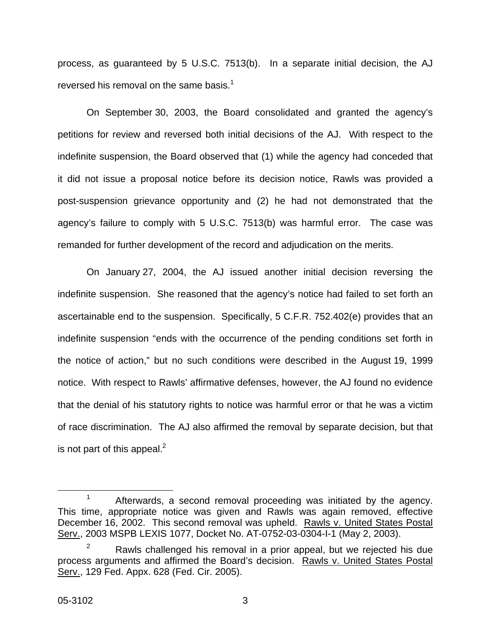process, as guaranteed by 5 U.S.C. 7513(b). In a separate initial decision, the AJ reversed his removal on the same basis. $1$ 

On September 30, 2003, the Board consolidated and granted the agency's petitions for review and reversed both initial decisions of the AJ. With respect to the indefinite suspension, the Board observed that (1) while the agency had conceded that it did not issue a proposal notice before its decision notice, Rawls was provided a post-suspension grievance opportunity and (2) he had not demonstrated that the agency's failure to comply with 5 U.S.C. 7513(b) was harmful error. The case was remanded for further development of the record and adjudication on the merits.

On January 27, 2004, the AJ issued another initial decision reversing the indefinite suspension. She reasoned that the agency's notice had failed to set forth an ascertainable end to the suspension. Specifically, 5 C.F.R. 752.402(e) provides that an indefinite suspension "ends with the occurrence of the pending conditions set forth in the notice of action," but no such conditions were described in the August 19, 1999 notice. With respect to Rawls' affirmative defenses, however, the AJ found no evidence that the denial of his statutory rights to notice was harmful error or that he was a victim of race discrimination. The AJ also affirmed the removal by separate decision, but that is not part of this appeal. $<sup>2</sup>$  $<sup>2</sup>$  $<sup>2</sup>$ </sup>

<span id="page-2-0"></span> $1$  Afterwards, a second removal proceeding was initiated by the agency. This time, appropriate notice was given and Rawls was again removed, effective December 16, 2002. This second removal was upheld. Rawls v. United States Postal Serv., 2003 MSPB LEXIS 1077, Docket No. AT-0752-03-0304-I-1 (May 2, 2003).

<span id="page-2-1"></span> $2^2$  Rawls challenged his removal in a prior appeal, but we rejected his due process arguments and affirmed the Board's decision. Rawls v. United States Postal Serv., 129 Fed. Appx. 628 (Fed. Cir. 2005).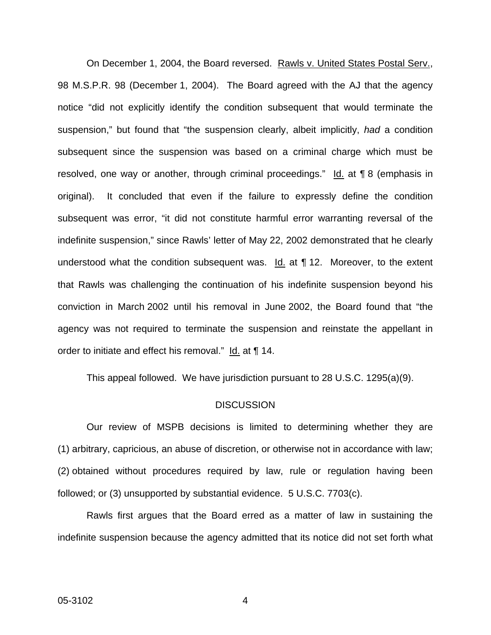On December 1, 2004, the Board reversed. Rawls v. United States Postal Serv., 98 M.S.P.R. 98 (December 1, 2004). The Board agreed with the AJ that the agency notice "did not explicitly identify the condition subsequent that would terminate the suspension," but found that "the suspension clearly, albeit implicitly, *had* a condition subsequent since the suspension was based on a criminal charge which must be resolved, one way or another, through criminal proceedings." Id. at ¶ 8 (emphasis in original). It concluded that even if the failure to expressly define the condition subsequent was error, "it did not constitute harmful error warranting reversal of the indefinite suspension," since Rawls' letter of May 22, 2002 demonstrated that he clearly understood what the condition subsequent was.  $Id$  at  $\P$  12. Moreover, to the extent that Rawls was challenging the continuation of his indefinite suspension beyond his conviction in March 2002 until his removal in June 2002, the Board found that "the agency was not required to terminate the suspension and reinstate the appellant in order to initiate and effect his removal." Id. at ¶ 14.

This appeal followed. We have jurisdiction pursuant to 28 U.S.C. 1295(a)(9).

## DISCUSSION

Our review of MSPB decisions is limited to determining whether they are (1) arbitrary, capricious, an abuse of discretion, or otherwise not in accordance with law; (2) obtained without procedures required by law, rule or regulation having been followed; or (3) unsupported by substantial evidence. 5 U.S.C. 7703(c).

Rawls first argues that the Board erred as a matter of law in sustaining the indefinite suspension because the agency admitted that its notice did not set forth what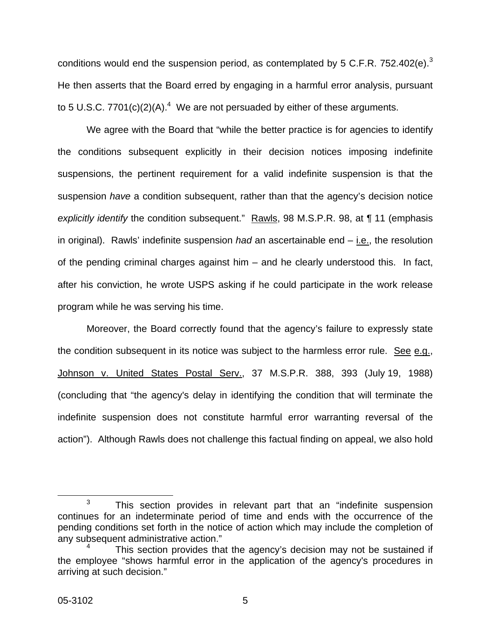conditions would end the suspension period, as contemplated by 5 C.F.R. 752.402(e).<sup>[3](#page-4-0)</sup> He then asserts that the Board erred by engaging in a harmful error analysis, pursuant to 5 U.S.C. 7701(c)(2)(A).<sup>[4](#page-4-1)</sup> We are not persuaded by either of these arguments.

We agree with the Board that "while the better practice is for agencies to identify the conditions subsequent explicitly in their decision notices imposing indefinite suspensions, the pertinent requirement for a valid indefinite suspension is that the suspension *have* a condition subsequent, rather than that the agency's decision notice *explicitly identify* the condition subsequent." Rawls, 98 M.S.P.R. 98, at ¶ 11 (emphasis in original). Rawls' indefinite suspension *had* an ascertainable end – i.e., the resolution of the pending criminal charges against him – and he clearly understood this. In fact, after his conviction, he wrote USPS asking if he could participate in the work release program while he was serving his time.

Moreover, the Board correctly found that the agency's failure to expressly state the condition subsequent in its notice was subject to the harmless error rule. See e.g., Johnson v. United States Postal Serv., 37 M.S.P.R. 388, 393 (July 19, 1988) (concluding that "the agency's delay in identifying the condition that will terminate the indefinite suspension does not constitute harmful error warranting reversal of the action"). Although Rawls does not challenge this factual finding on appeal, we also hold

<span id="page-4-0"></span> $3$  This section provides in relevant part that an "indefinite suspension continues for an indeterminate period of time and ends with the occurrence of the pending conditions set forth in the notice of action which may include the completion of any subsequent administrative action."

<span id="page-4-1"></span>This section provides that the agency's decision may not be sustained if the employee "shows harmful error in the application of the agency's procedures in arriving at such decision."